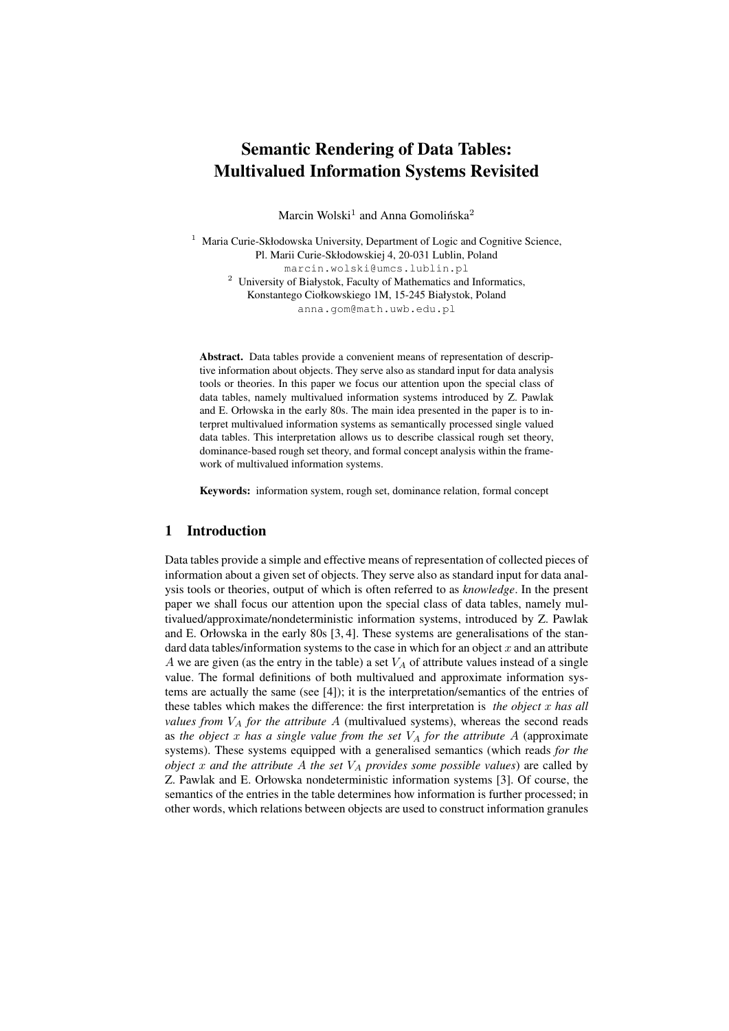# Semantic Rendering of Data Tables: Multivalued Information Systems Revisited

Marcin Wolski<sup>1</sup> and Anna Gomolińska<sup>2</sup>

<sup>1</sup> Maria Curie-Skłodowska University, Department of Logic and Cognitive Science, Pl. Marii Curie-Skłodowskiej 4, 20-031 Lublin, Poland marcin.wolski@umcs.lublin.pl <sup>2</sup> University of Białystok, Faculty of Mathematics and Informatics, Konstantego Ciołkowskiego 1M, 15-245 Białystok, Poland anna.gom@math.uwb.edu.pl

Abstract. Data tables provide a convenient means of representation of descriptive information about objects. They serve also as standard input for data analysis tools or theories. In this paper we focus our attention upon the special class of data tables, namely multivalued information systems introduced by Z. Pawlak and E. Orłowska in the early 80s. The main idea presented in the paper is to interpret multivalued information systems as semantically processed single valued data tables. This interpretation allows us to describe classical rough set theory, dominance-based rough set theory, and formal concept analysis within the framework of multivalued information systems.

Keywords: information system, rough set, dominance relation, formal concept

# 1 Introduction

Data tables provide a simple and effective means of representation of collected pieces of information about a given set of objects. They serve also as standard input for data analysis tools or theories, output of which is often referred to as *knowledge*. In the present paper we shall focus our attention upon the special class of data tables, namely multivalued/approximate/nondeterministic information systems, introduced by Z. Pawlak and E. Orłowska in the early 80s [3, 4]. These systems are generalisations of the standard data tables/information systems to the case in which for an object  $x$  and an attribute A we are given (as the entry in the table) a set  $V_A$  of attribute values instead of a single value. The formal definitions of both multivalued and approximate information systems are actually the same (see [4]); it is the interpretation/semantics of the entries of these tables which makes the difference: the first interpretation is *the object* x *has all values from*  $V_A$  *for the attribute*  $A$  (multivalued systems), whereas the second reads as the object  $x$  has a single value from the set  $V_A$  for the attribute  $A$  (approximate systems). These systems equipped with a generalised semantics (which reads *for the object* x and the attribute A the set  $V_A$  provides some possible values) are called by Z. Pawlak and E. Orłowska nondeterministic information systems [3]. Of course, the semantics of the entries in the table determines how information is further processed; in other words, which relations between objects are used to construct information granules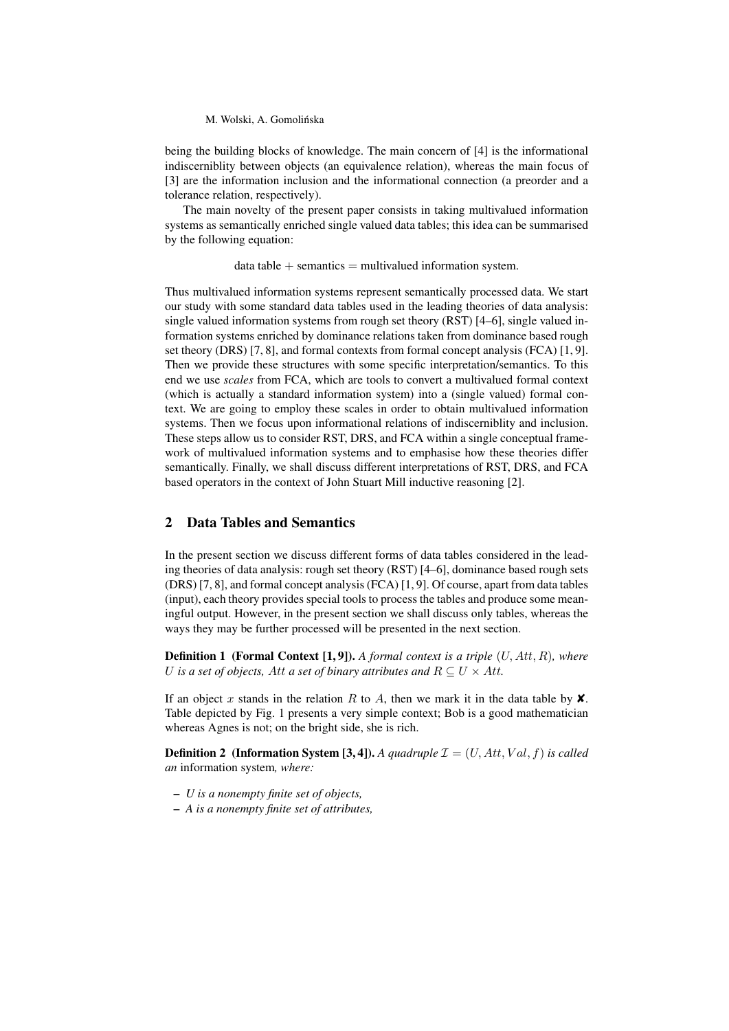### M. Wolski, A. Gomolińska

being the building blocks of knowledge. The main concern of [4] is the informational indiscerniblity between objects (an equivalence relation), whereas the main focus of [3] are the information inclusion and the informational connection (a preorder and a tolerance relation, respectively).

The main novelty of the present paper consists in taking multivalued information systems as semantically enriched single valued data tables; this idea can be summarised by the following equation:

 $data$  table  $+$  semantics  $=$  multivalued information system.

Thus multivalued information systems represent semantically processed data. We start our study with some standard data tables used in the leading theories of data analysis: single valued information systems from rough set theory (RST) [4–6], single valued information systems enriched by dominance relations taken from dominance based rough set theory (DRS) [7, 8], and formal contexts from formal concept analysis (FCA) [1, 9]. Then we provide these structures with some specific interpretation/semantics. To this end we use *scales* from FCA, which are tools to convert a multivalued formal context (which is actually a standard information system) into a (single valued) formal context. We are going to employ these scales in order to obtain multivalued information systems. Then we focus upon informational relations of indiscerniblity and inclusion. These steps allow us to consider RST, DRS, and FCA within a single conceptual framework of multivalued information systems and to emphasise how these theories differ semantically. Finally, we shall discuss different interpretations of RST, DRS, and FCA based operators in the context of John Stuart Mill inductive reasoning [2].

# 2 Data Tables and Semantics

In the present section we discuss different forms of data tables considered in the leading theories of data analysis: rough set theory (RST) [4–6], dominance based rough sets (DRS) [7, 8], and formal concept analysis (FCA) [1, 9]. Of course, apart from data tables (input), each theory provides special tools to process the tables and produce some meaningful output. However, in the present section we shall discuss only tables, whereas the ways they may be further processed will be presented in the next section.

Definition 1 (Formal Context [1, 9]). *A formal context is a triple* (U, Att, R)*, where* U is a set of objects, Att a set of binary attributes and  $R \subseteq U \times Att$ .

If an object x stands in the relation R to A, then we mark it in the data table by  $\mathsf{X}$ . Table depicted by Fig. 1 presents a very simple context; Bob is a good mathematician whereas Agnes is not; on the bright side, she is rich.

**Definition 2** (Information System [3, 4]). A quadruple  $\mathcal{I} = (U, Att, Val, f)$  is called *an* information system*, where:*

- *U is a nonempty finite set of objects,*
- *A is a nonempty finite set of attributes,*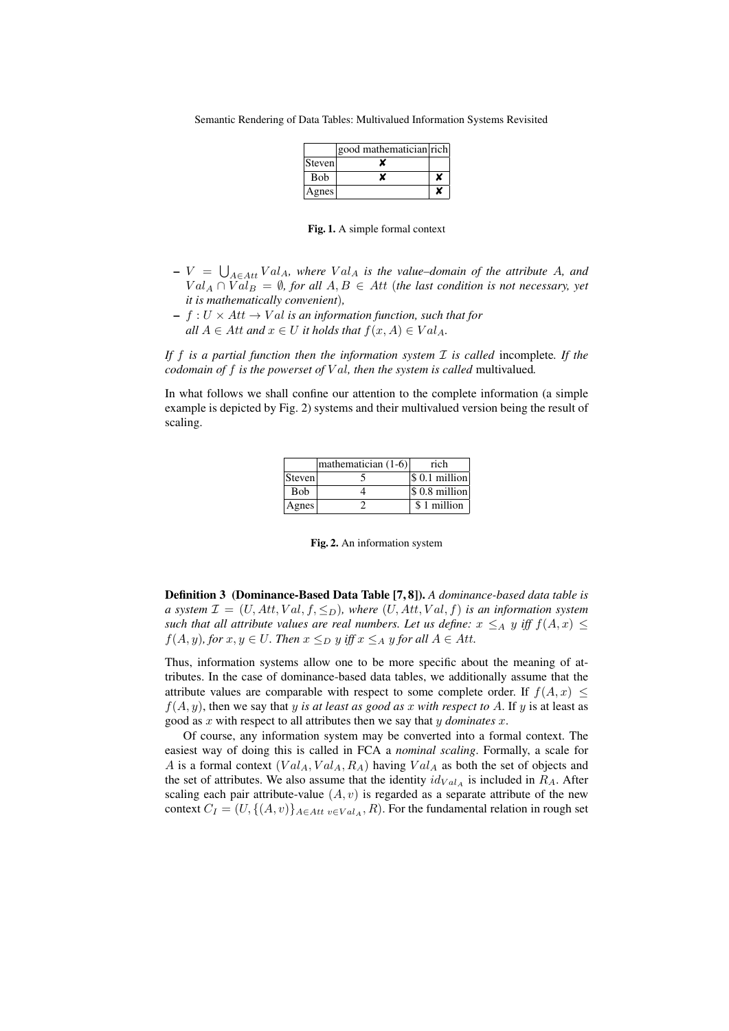|              | good mathematician rich |   |
|--------------|-------------------------|---|
| Steven       |                         |   |
| <b>B</b> ob  |                         | x |
| <b>Agnes</b> |                         | x |

Fig. 1. A simple formal context

- $-V = \bigcup_{A \in Att} Val_A$ , where  $Val_A$  is the value–domain of the attribute A, and  $Val_A \cap Val_B = \emptyset$ , for all  $A, B \in Att$  (the last condition is not necessary, yet *it is mathematically convenient*)*,*
- $f : U \times Att \rightarrow Val$  *is an information function, such that for all*  $A \in At$  *and*  $x \in U$  *it holds that*  $f(x, A) \in Val_A$ .

*If* f *is a partial function then the information system* I *is called* incomplete*. If the codomain of* f *is the powerset of* V al*, then the system is called* multivalued*.*

In what follows we shall confine our attention to the complete information (a simple example is depicted by Fig. 2) systems and their multivalued version being the result of scaling.

|        | $ mathematician (1-6) $ | rich                   |
|--------|-------------------------|------------------------|
| Steven |                         | $\vert$ \$ 0.1 million |
| Bob    |                         | $\vert$ \$ 0.8 million |
| Agnes  |                         | \$1 million            |

Fig. 2. An information system

Definition 3 (Dominance-Based Data Table [7, 8]). *A dominance-based data table is a system*  $\mathcal{I} = (U, Att, Val, f, \leq_D)$ *, where*  $(U, Att, Val, f)$  *is an information system such that all attribute values are real numbers. Let us define:*  $x \leq_A y$  *iff*  $f(A, x) \leq$  $f(A, y)$ *, for*  $x, y \in U$ *. Then*  $x \leq_D y$  *iff*  $x \leq_A y$  *for all*  $A \in Att$ *.* 

Thus, information systems allow one to be more specific about the meaning of attributes. In the case of dominance-based data tables, we additionally assume that the attribute values are comparable with respect to some complete order. If  $f(A, x) \leq$  $f(A, y)$ , then we say that y *is at least as good as x with respect to A*. If y is at least as good as x with respect to all attributes then we say that y *dominates* x.

Of course, any information system may be converted into a formal context. The easiest way of doing this is called in FCA a *nominal scaling*. Formally, a scale for A is a formal context  $(Val_A, Val_A, R_A)$  having  $Val_A$  as both the set of objects and the set of attributes. We also assume that the identity  $id_{Val_A}$  is included in  $R_A$ . After scaling each pair attribute-value  $(A, v)$  is regarded as a separate attribute of the new context  $C_I = (U, \{(A, v)\}_{A \in Att \ v \in Val_A}, R)$ . For the fundamental relation in rough set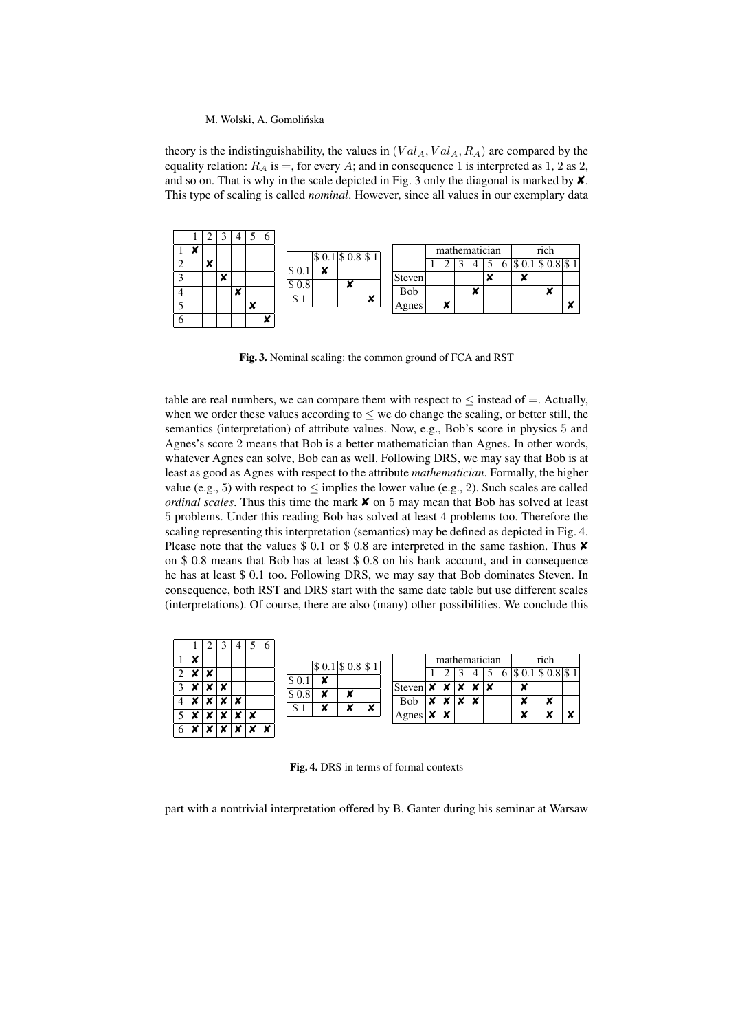#### M. Wolski, A. Gomolińska

theory is the indistinguishability, the values in  $(Val_A, Val_A, R_A)$  are compared by the equality relation:  $R_A$  is =, for every A; and in consequence 1 is interpreted as 1, 2 as 2, and so on. That is why in the scale depicted in Fig. 3 only the diagonal is marked by  $\mathsf{\textbf{X}}$ . This type of scaling is called *nominal*. However, since all values in our exemplary data



Fig. 3. Nominal scaling: the common ground of FCA and RST

table are real numbers, we can compare them with respect to  $\leq$  instead of  $=$ . Actually, when we order these values according to  $\leq$  we do change the scaling, or better still, the semantics (interpretation) of attribute values. Now, e.g., Bob's score in physics 5 and Agnes's score 2 means that Bob is a better mathematician than Agnes. In other words, whatever Agnes can solve, Bob can as well. Following DRS, we may say that Bob is at least as good as Agnes with respect to the attribute *mathematician*. Formally, the higher value (e.g., 5) with respect to  $\leq$  implies the lower value (e.g., 2). Such scales are called *ordinal scales*. Thus this time the mark **<sup>***x* on 5 may mean that Bob has solved at least</sup> 5 problems. Under this reading Bob has solved at least 4 problems too. Therefore the scaling representing this interpretation (semantics) may be defined as depicted in Fig. 4. Please note that the values \$ 0.1 or \$ 0.8 are interpreted in the same fashion. Thus  $\times$ on \$ 0.8 means that Bob has at least \$ 0.8 on his bank account, and in consequence he has at least \$ 0.1 too. Following DRS, we may say that Bob dominates Steven. In consequence, both RST and DRS start with the same date table but use different scales (interpretations). Of course, there are also (many) other possibilities. We conclude this

|                |   | ↩ |   |   |   | b |       |                         |   |   |            |   |   |   |               |   |                  |          |   |
|----------------|---|---|---|---|---|---|-------|-------------------------|---|---|------------|---|---|---|---------------|---|------------------|----------|---|
|                | x |   |   |   |   |   |       | $ \$ 0.1  \$ 0.8  \$ 1$ |   |   |            |   |   |   | mathematician |   |                  | rich     |   |
| $\overline{2}$ | х |   |   |   |   |   |       | v                       |   |   |            |   |   |   |               |   | $\sqrt[16]{6}$ . | \$0.8 \$ |   |
| 3 <sup>1</sup> |   |   | x |   |   |   |       |                         |   |   | Steven     | ¥ |   |   |               | ¥ | x                |          |   |
| 4 <sup>1</sup> |   |   |   | × |   |   | \$0.8 | ີ                       | × |   | <b>Bob</b> |   |   | ∼ |               |   | ×                | x        |   |
| 5              |   |   |   |   | ັ |   | Φ     |                         | ∼ | × | Agnes      | ¥ | x |   |               |   | ×                | v<br>×   | x |
| 6              |   |   |   |   |   | × |       |                         |   |   |            |   |   |   |               |   |                  |          |   |

Fig. 4. DRS in terms of formal contexts

part with a nontrivial interpretation offered by B. Ganter during his seminar at Warsaw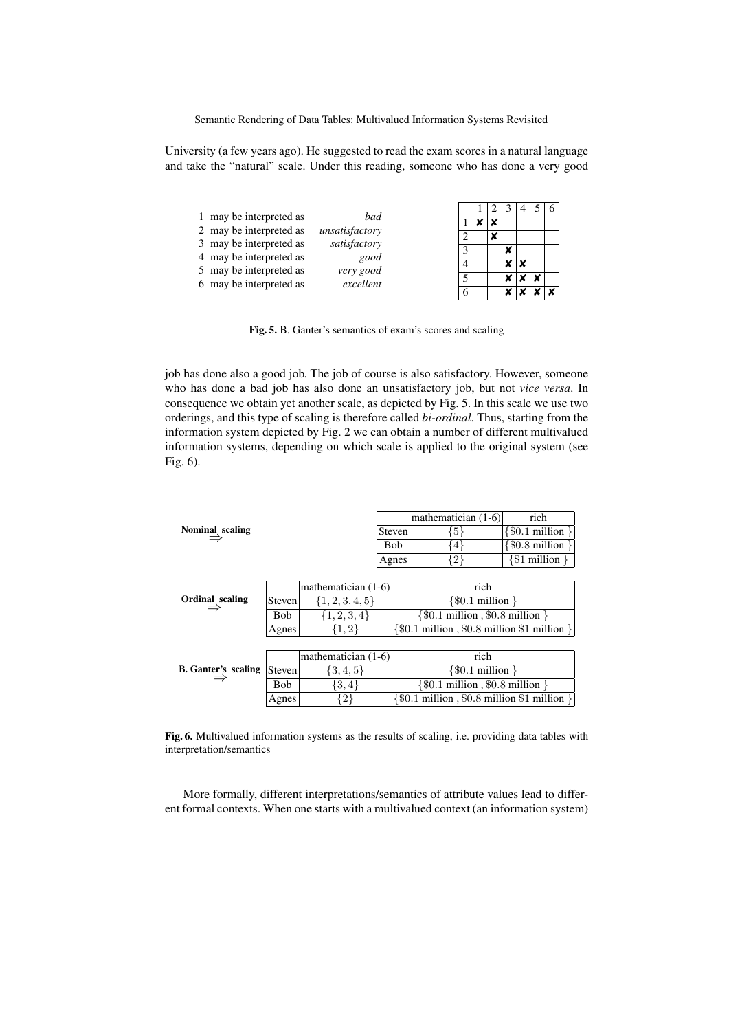University (a few years ago). He suggested to read the exam scores in a natural language and take the "natural" scale. Under this reading, someone who has done a very good

| 1 may be interpreted as | bad            |  |   |   |  |
|-------------------------|----------------|--|---|---|--|
| 2 may be interpreted as | unsatisfactory |  |   |   |  |
| 3 may be interpreted as | satisfactory   |  | × |   |  |
|                         |                |  |   |   |  |
| 4 may be interpreted as | good           |  |   | x |  |
| 5 may be interpreted as | very good      |  |   |   |  |
| 6 may be interpreted as | excellent      |  |   |   |  |
|                         |                |  |   |   |  |
|                         |                |  |   |   |  |

Fig. 5. B. Ganter's semantics of exam's scores and scaling

job has done also a good job. The job of course is also satisfactory. However, someone who has done a bad job has also done an unsatisfactory job, but not *vice versa*. In consequence we obtain yet another scale, as depicted by Fig. 5. In this scale we use two orderings, and this type of scaling is therefore called *bi-ordinal*. Thus, starting from the information system depicted by Fig. 2 we can obtain a number of different multivalued information systems, depending on which scale is applied to the original system (see Fig. 6).

|                            |            |                       |            | mathematician (1-6)                                                      | rich                      |  |  |  |  |
|----------------------------|------------|-----------------------|------------|--------------------------------------------------------------------------|---------------------------|--|--|--|--|
| Nominal scaling            |            |                       | Steven     | $\{5\}$                                                                  | $\{$ \$0.1 million $\}$   |  |  |  |  |
|                            |            |                       | <b>Bob</b> | ∤4∤                                                                      | $\{$ \$0.8 million $\}$   |  |  |  |  |
|                            |            |                       | Agnes      | $\{2\}$                                                                  | $\{\$1\text{ million }\}$ |  |  |  |  |
|                            |            |                       |            |                                                                          |                           |  |  |  |  |
|                            |            | mathematician $(1-6)$ |            | rich                                                                     |                           |  |  |  |  |
| Ordinal scaling            | Steven     | $\{1, 2, 3, 4, 5\}$   |            | $\{$ \$0.1 million $\}$                                                  |                           |  |  |  |  |
|                            | <b>Bob</b> | $\{1, 2, 3, 4\}$      |            | $\{\$0.1 \text{ million}, \$0.8 \text{ million}\}\$                      |                           |  |  |  |  |
|                            | Agnes      | ${1, 2}$              |            | $\{\$0.1 \text{ million}, \$0.8 \text{ million } \$1 \text{ million }\}$ |                           |  |  |  |  |
|                            |            |                       |            |                                                                          |                           |  |  |  |  |
|                            |            | mathematician $(1-6)$ |            | rich                                                                     |                           |  |  |  |  |
| <b>B.</b> Ganter's scaling | Steven     | $\{3,4,5\}$           |            |                                                                          | $\{$ \$0.1 million $\}$   |  |  |  |  |
|                            | Bob        | $\{3,4\}$             |            | $\{\$0.1 \text{ million}, \$0.8 \text{ million}\}\$                      |                           |  |  |  |  |

Fig. 6. Multivalued information systems as the results of scaling, i.e. providing data tables with interpretation/semantics

Agnes {2} {\$0.1 million , \$0.8 million \$1 million }

More formally, different interpretations/semantics of attribute values lead to different formal contexts. When one starts with a multivalued context (an information system)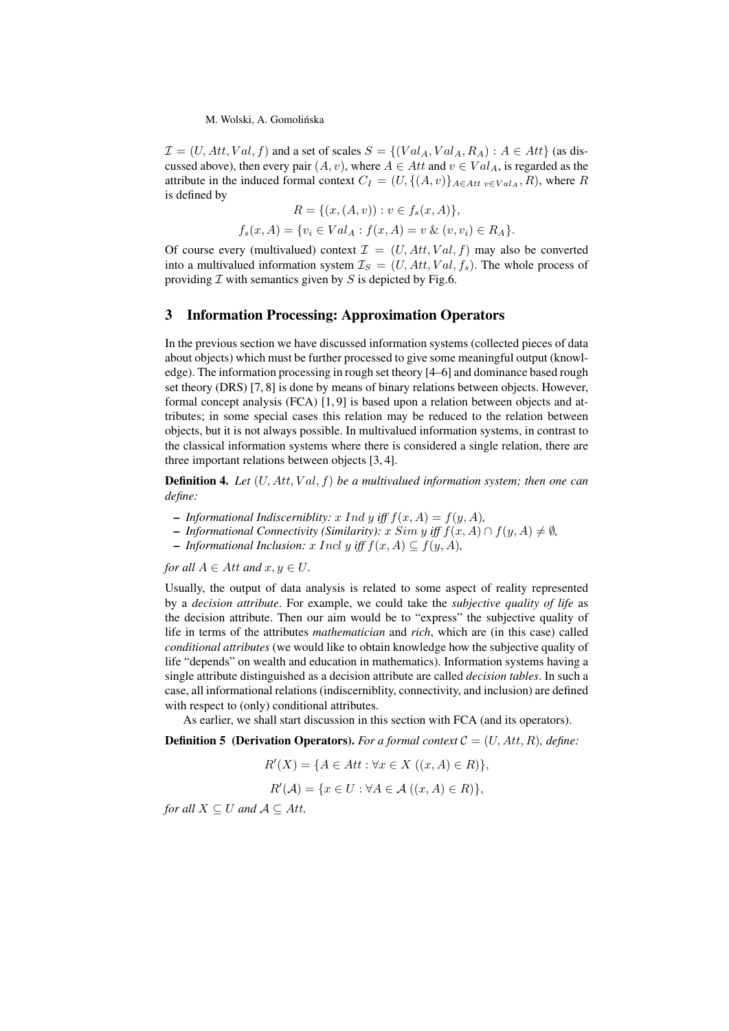#### M. Wolski, A. Gomolińska

 $\mathcal{I} = (U, Att, Val, f)$  and a set of scales  $S = \{(Val_A, Val_A, R_A) : A \in Att\}$  (as discussed above), then every pair  $(A, v)$ , where  $A \in Att$  and  $v \in Val_A$ , is regarded as the attribute in the induced formal context  $C_I = (U, \{(A, v)\}_{A \in Att} v \in Val_A, R)$ , where R is defined by

$$
R = \{(x, (A, v)) : v \in f_s(x, A)\},\
$$

$$
f_s(x, A) = \{v_i \in Val_A : f(x, A) = v \& (v, v_i) \in R_A\}.
$$

Of course every (multivalued) context  $\mathcal{I} = (U, Att, Val, f)$  may also be converted into a multivalued information system  $\mathcal{I}_S = (U, Att, Val, f_s)$ . The whole process of providing  $\mathcal I$  with semantics given by  $S$  is depicted by Fig.6.

### 3 Information Processing: Approximation Operators

In the previous section we have discussed information systems (collected pieces of data about objects) which must be further processed to give some meaningful output (knowledge). The information processing in rough set theory [4–6] and dominance based rough set theory (DRS) [7, 8] is done by means of binary relations between objects. However, formal concept analysis (FCA) [1, 9] is based upon a relation between objects and attributes; in some special cases this relation may be reduced to the relation between objects, but it is not always possible. In multivalued information systems, in contrast to the classical information systems where there is considered a single relation, there are three important relations between objects [3, 4].

Definition 4. *Let* (U, Att, V al, f) *be a multivalued information system; then one can define:*

- *Informational Indiscerniblity:* x *Ind y iff*  $f(x, A) = f(y, A)$ ,
- $\blacksquare$  *Informational Connectivity (Similarity):*  $x \, Sim \, y \, iff \, f(x, A) \cap f(y, A) \neq \emptyset$ ,
- *Informational Inclusion:* x Incl y *iff* f(x, A) ⊆ f(y, A)*,*

*for all*  $A \in$  *Att and*  $x, y \in U$ *.* 

Usually, the output of data analysis is related to some aspect of reality represented by a *decision attribute*. For example, we could take the *subjective quality of life* as the decision attribute. Then our aim would be to "express" the subjective quality of life in terms of the attributes *mathematician* and *rich*, which are (in this case) called *conditional attributes* (we would like to obtain knowledge how the subjective quality of life "depends" on wealth and education in mathematics). Information systems having a single attribute distinguished as a decision attribute are called *decision tables*. In such a case, all informational relations (indiscerniblity, connectivity, and inclusion) are defined with respect to (only) conditional attributes.

As earlier, we shall start discussion in this section with FCA (and its operators).

**Definition 5 (Derivation Operators).** *For a formal context*  $C = (U, Att, R)$ *, define:* 

$$
R'(X) = \{ A \in Att : \forall x \in X \ ((x, A) \in R) \},
$$

$$
R'(\mathcal{A}) = \{x \in U : \forall A \in \mathcal{A} \ ((x, A) \in R)\},\
$$

*for all*  $X \subseteq U$  *and*  $A \subseteq Att$ *.*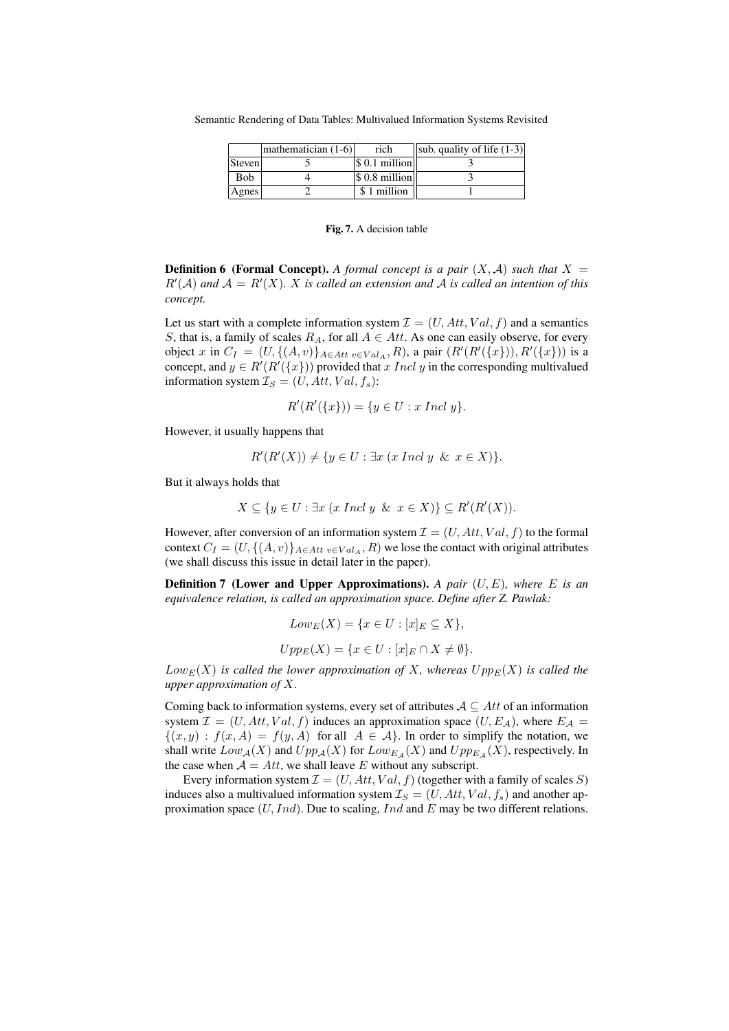Semantic Rendering of Data Tables: Multivalued Information Systems Revisited

|                 | mathematician $(1-6)$ | rich                   | $\vert$ sub. quality of life (1-3) $\vert$ |
|-----------------|-----------------------|------------------------|--------------------------------------------|
| Steven          |                       | S 0.1 million          |                                            |
| <b>Bob</b>      |                       | $\vert$ \$ 0.8 million |                                            |
| $\sqrt{A}$ gnes |                       | \$1 million            |                                            |

Fig. 7. A decision table

**Definition 6 (Formal Concept).** A formal concept is a pair  $(X, \mathcal{A})$  such that  $X =$  $R'(\mathcal{A})$  and  $\mathcal{A} = R'(X)$ . X is called an extension and  $\mathcal{A}$  is called an intention of this *concept.*

Let us start with a complete information system  $\mathcal{I} = (U, Att, Val, f)$  and a semantics S, that is, a family of scales  $R_A$ , for all  $A \in Att$ . As one can easily observe, for every object x in  $C_I = (U, \{(A, v)\}_{A \in Att \ v \in Val_A}, R)$ , a pair  $(R'(R'(\{x\})), R'(\{x\}))$  is a concept, and  $y \in R'(R'(\lbrace x \rbrace))$  provided that x Incl y in the corresponding multivalued information system  $\mathcal{I}_S = (U, Att, Val, f_s)$ :

$$
R'(R'(\{x\})) = \{y \in U : x \text{ Ind } y\}.
$$

However, it usually happens that

$$
R'(R'(X)) \neq \{ y \in U : \exists x \ (x \ Ind \ y \ \& \ x \in X) \}.
$$

But it always holds that

$$
X \subseteq \{ y \in U : \exists x \ (x \ Ind \ y \ \& \ x \in X \} \} \subseteq R'(R'(X)).
$$

However, after conversion of an information system  $\mathcal{I} = (U, Att, Val, f)$  to the formal context  $C_I = (U, \{(A, v)\}_{A \in Att \ v \in Val_A}, R)$  we lose the contact with original attributes (we shall discuss this issue in detail later in the paper).

Definition 7 (Lower and Upper Approximations). *A pair* (U, E)*, where* E *is an equivalence relation, is called an approximation space. Define after Z. Pawlak:*

$$
Low_E(X) = \{x \in U : [x]_E \subseteq X\},
$$
  

$$
Upp_E(X) = \{x \in U : [x]_E \cap X \neq \emptyset\}.
$$

 $Low_E(X)$  *is called the lower approximation of* X, whereas  $Upp_E(X)$  *is called the upper approximation of* X*.*

Coming back to information systems, every set of attributes  $A \subseteq Att$  of an information system  $\mathcal{I} = (U, Att, Val, f)$  induces an approximation space  $(U, E_{\mathcal{A}})$ , where  $E_{\mathcal{A}} =$  $\{(x, y) : f(x, A) = f(y, A) \text{ for all } A \in A\}$ . In order to simplify the notation, we shall write  $Low_{\mathcal{A}}(X)$  and  $Upp_{\mathcal{A}}(X)$  for  $Low_{E_{\mathcal{A}}}(X)$  and  $Upp_{E_{\mathcal{A}}}(X)$ , respectively. In the case when  $A = Att$ , we shall leave E without any subscript.

Every information system  $\mathcal{I} = (U, Att, Val, f)$  (together with a family of scales S) induces also a multivalued information system  $\mathcal{I}_S = (U, Att, Val, f_s)$  and another approximation space  $(U, Ind)$ . Due to scaling,  $Ind$  and  $E$  may be two different relations.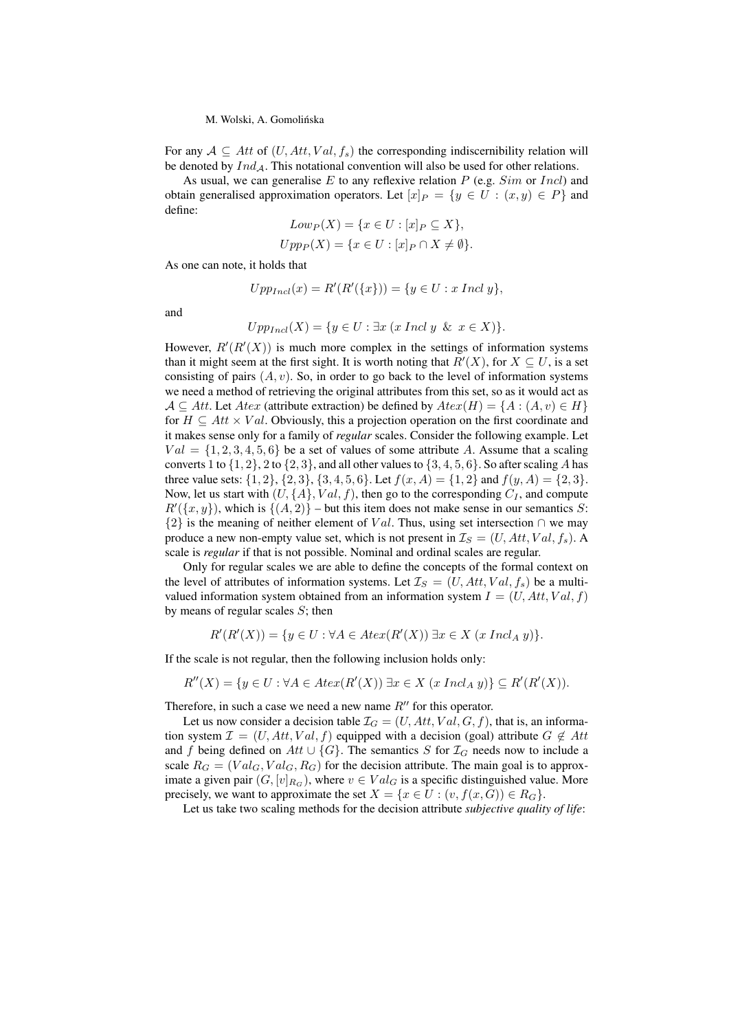#### M. Wolski, A. Gomolinska ´

For any  $A \subseteq Att$  of  $(U, Att, Val, f_s)$  the corresponding indiscernibility relation will be denoted by  $Ind_A$ . This notational convention will also be used for other relations.

As usual, we can generalise  $E$  to any reflexive relation  $P$  (e.g.  $Sim$  or  $Incl$ ) and obtain generalised approximation operators. Let  $[x]_P = \{y \in U : (x, y) \in P\}$  and define:

$$
Low_P(X) = \{x \in U : [x]_P \subseteq X\},
$$
  

$$
Upp_P(X) = \{x \in U : [x]_P \cap X \neq \emptyset\}.
$$

As one can note, it holds that

$$
Upp_{Incl}(x) = R'(R'(\{x\})) = \{y \in U : x Incl y\},\
$$

and

$$
Upp_{Incl}(X) = \{ y \in U : \exists x \ (x \ Incl \ y \ \& \ x \in X) \}.
$$

However,  $R'(R'(X))$  is much more complex in the settings of information systems than it might seem at the first sight. It is worth noting that  $R'(X)$ , for  $X \subseteq U$ , is a set consisting of pairs  $(A, v)$ . So, in order to go back to the level of information systems we need a method of retrieving the original attributes from this set, so as it would act as  $A \subseteq Att$ . Let Atex (attribute extraction) be defined by  $Atex(H) = \{A : (A, v) \in H\}$ for  $H \subseteq Att \times Val$ . Obviously, this a projection operation on the first coordinate and it makes sense only for a family of *regular* scales. Consider the following example. Let  $Val = \{1, 2, 3, 4, 5, 6\}$  be a set of values of some attribute A. Assume that a scaling converts 1 to  $\{1, 2\}$ , 2 to  $\{2, 3\}$ , and all other values to  $\{3, 4, 5, 6\}$ . So after scaling A has three value sets:  $\{1, 2\}, \{2, 3\}, \{3, 4, 5, 6\}$ . Let  $f(x, A) = \{1, 2\}$  and  $f(y, A) = \{2, 3\}$ . Now, let us start with  $(U, \{A\}, Val, f)$ , then go to the corresponding  $C_I$ , and compute  $R'(\lbrace x, y \rbrace)$ , which is  $\lbrace (A, 2) \rbrace$  – but this item does not make sense in our semantics S:  ${2}$  is the meaning of neither element of Val. Thus, using set intersection ∩ we may produce a new non-empty value set, which is not present in  $\mathcal{I}_S = (U, Att, Val, f_s)$ . scale is *regular* if that is not possible. Nominal and ordinal scales are regular.

Only for regular scales we are able to define the concepts of the formal context on the level of attributes of information systems. Let  $\mathcal{I}_S = (U, Att, Val, f_s)$  be a multivalued information system obtained from an information system  $I = (U, Att, Val, f)$ by means of regular scales  $S$ ; then

$$
R'(R'(X)) = \{ y \in U : \forall A \in \text{Atext}(R'(X)) \exists x \in X \text{ (x IndA y) } \}.
$$

If the scale is not regular, then the following inclusion holds only:

$$
R''(X) = \{ y \in U : \forall A \in \text{Atext}(R'(X)) \exists x \in X \text{ (x IndA y)} \} \subseteq R'(R'(X)).
$$

Therefore, in such a case we need a new name  $R''$  for this operator.

Let us now consider a decision table  $\mathcal{I}_G = (U, Att, Val, G, f)$ , that is, an information system  $\mathcal{I} = (U, Att, Val, f)$  equipped with a decision (goal) attribute  $G \notin Att$ and f being defined on Att  $\cup$  {G}. The semantics S for  $\mathcal{I}_G$  needs now to include a scale  $R_G = (Val_G, Val_G, R_G)$  for the decision attribute. The main goal is to approximate a given pair  $(G, [v]_{R_G})$ , where  $v \in Val_G$  is a specific distinguished value. More precisely, we want to approximate the set  $X = \{x \in U : (v, f(x, G)) \in R_G\}.$ 

Let us take two scaling methods for the decision attribute *subjective quality of life*: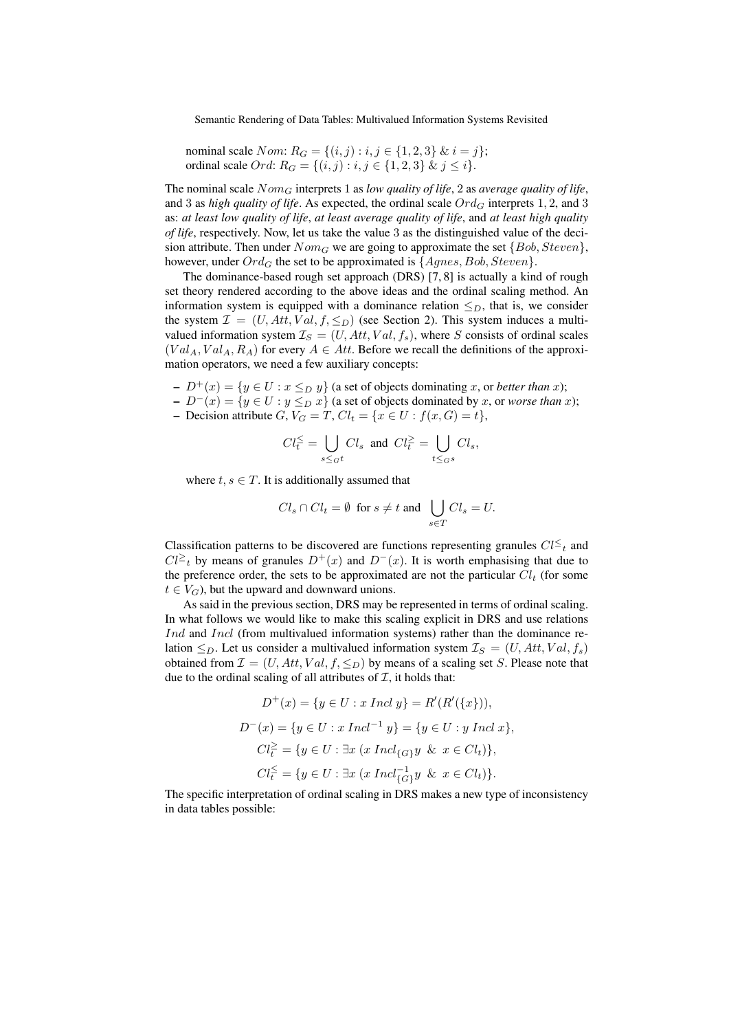Semantic Rendering of Data Tables: Multivalued Information Systems Revisited

\n
$$
\text{nominal scale } \text{Nom: } R_G = \{(i, j) : i, j \in \{1, 2, 3\} \, \& i = j\};
$$
\n

\n\n $\text{ordinal scale } \text{Ord: } R_G = \{(i, j) : i, j \in \{1, 2, 3\} \, \& j \leq i\}.$ \n

The nominal scale  $Nom_G$  interprets 1 as *low quality of life*, 2 as *average quality of life*, and 3 as *high quality of life*. As expected, the ordinal scale  $Ord_G$  interprets 1, 2, and 3 as: *at least low quality of life*, *at least average quality of life*, and *at least high quality of life*, respectively. Now, let us take the value 3 as the distinguished value of the decision attribute. Then under  $Nom_G$  we are going to approximate the set  $\{Bob, Steven\}$ , however, under  $Ord_G$  the set to be approximated is  $\{Agnes, Bob, Steven\}.$ 

The dominance-based rough set approach (DRS) [7, 8] is actually a kind of rough set theory rendered according to the above ideas and the ordinal scaling method. An information system is equipped with a dominance relation  $\leq_D$ , that is, we consider the system  $\mathcal{I} = (U, Att, Val, f, \leq_D)$  (see Section 2). This system induces a multivalued information system  $\mathcal{I}_S = (U, Att, Val, f_s)$ , where S consists of ordinal scales  $(Val_A, Val_A, R_A)$  for every  $A \in Att$ . Before we recall the definitions of the approximation operators, we need a few auxiliary concepts:

 $-D^+(x) = \{y \in U : x \leq_D y\}$  (a set of objects dominating x, or *better than* x);

- $D^{-}(x) = \{y \in U : y \leq_D x\}$  (a set of objects dominated by x, or *worse than* x);
- Decision attribute G,  $V_G = T$ ,  $Cl_t = \{x \in U : f(x, G) = t\},\$

$$
Cl_t^{\leq} = \bigcup_{s \leq \sigma^t} Cl_s \text{ and } Cl_t^{\geq} = \bigcup_{t \leq \sigma^s} Cl_s,
$$

where  $t, s \in T$ . It is additionally assumed that

$$
Cl_s \cap Cl_t = \emptyset \text{ for } s \neq t \text{ and } \bigcup_{s \in T} Cl_s = U.
$$

Classification patterns to be discovered are functions representing granules  $Cl^{\leq}{}_{t}$  and  $Cl^{\geq}$  by means of granules  $D^+(x)$  and  $D^-(x)$ . It is worth emphasising that due to the preference order, the sets to be approximated are not the particular  $Cl_t$  (for some  $t \in V_G$ ), but the upward and downward unions.

As said in the previous section, DRS may be represented in terms of ordinal scaling. In what follows we would like to make this scaling explicit in DRS and use relations Ind and Incl (from multivalued information systems) rather than the dominance relation  $\leq_D$ . Let us consider a multivalued information system  $\mathcal{I}_S = (U, Att, Val, f_s)$ obtained from  $\mathcal{I} = (U, Att, Val, f, \leq_D)$  by means of a scaling set S. Please note that due to the ordinal scaling of all attributes of  $I$ , it holds that:

$$
D^{+}(x) = \{y \in U : x \text{ Ind } y\} = R'(R'(\{x\}))),
$$
  
\n
$$
D^{-}(x) = \{y \in U : x \text{ Ind}^{-1} y\} = \{y \in U : y \text{ Ind } x\},
$$
  
\n
$$
Cl_{t}^{\geq} = \{y \in U : \exists x \text{ (}x \text{ Ind}_{G}y \& x \in Cl_{t})\},
$$
  
\n
$$
Cl_{t}^{\leq} = \{y \in U : \exists x \text{ (}x \text{ Ind}_{G}^{-1}y \& x \in Cl_{t})\}.
$$

The specific interpretation of ordinal scaling in DRS makes a new type of inconsistency in data tables possible: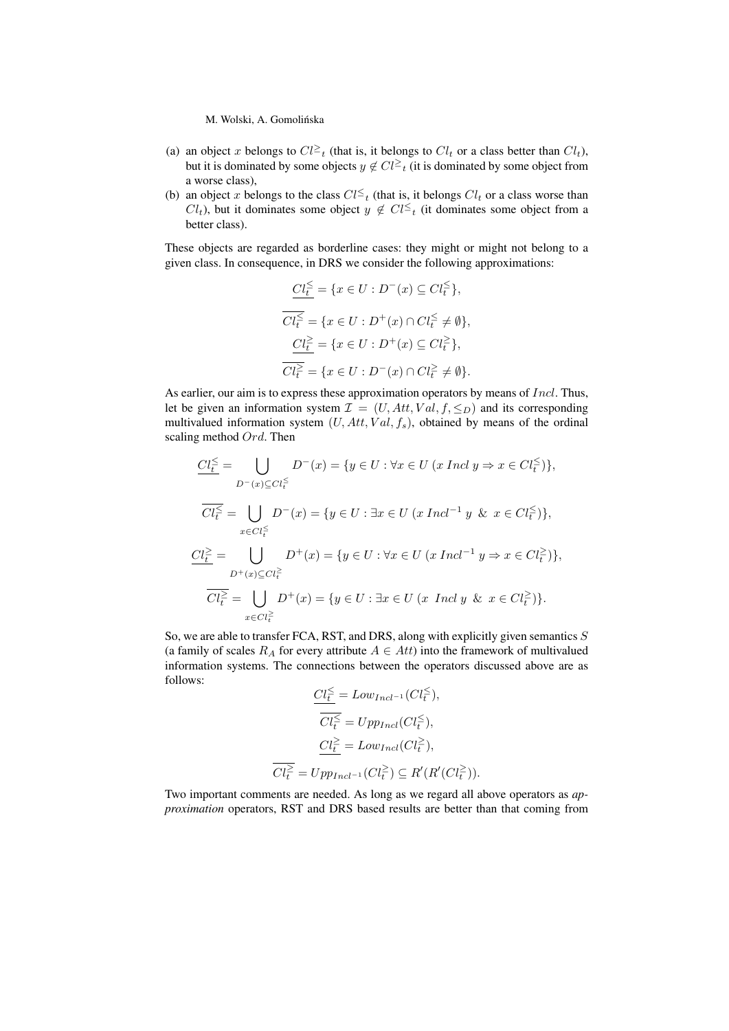M. Wolski, A. Gomolinska ´

- (a) an object x belongs to  $Cl^{\geq}$  (that is, it belongs to  $Cl_t$  or a class better than  $Cl_t$ ), but it is dominated by some objects  $y \notin Cl^{\geq}$  (it is dominated by some object from a worse class),
- (b) an object x belongs to the class  $Cl \leq_t$  (that is, it belongs  $Cl_t$  or a class worse than  $Cl<sub>t</sub>$ ), but it dominates some object  $y \notin Cl^{\leq}_{t}$  (it dominates some object from a better class).

These objects are regarded as borderline cases: they might or might not belong to a given class. In consequence, in DRS we consider the following approximations:

$$
\begin{aligned}\n\underline{Cl_{t}^{\leq}} &= \{x \in U : D^{-}(x) \subseteq Cl_{t}^{\leq}\}, \\
\overline{Cl_{t}^{\leq}} &= \{x \in U : D^{+}(x) \cap Cl_{t}^{\leq} \neq \emptyset\}, \\
\underline{Cl_{t}^{\geq}} &= \{x \in U : D^{+}(x) \subseteq Cl_{t}^{\geq}\}, \\
\overline{Cl_{t}^{\geq}} &= \{x \in U : D^{-}(x) \cap Cl_{t}^{\geq} \neq \emptyset\}.\n\end{aligned}
$$

As earlier, our aim is to express these approximation operators by means of Incl. Thus, let be given an information system  $\mathcal{I} = (U, Att, Val, f, \leq_D)$  and its corresponding multivalued information system  $(U, Att, Val, f_s)$ , obtained by means of the ordinal scaling method  $Ord$ . Then

$$
\underbrace{Cl_{\tilde{t}}^{\leq}}_{D^-(x)\subseteq Cl_{\tilde{t}}^{\leq}} \bigcup_{D^-(x)\subseteq Cl_{\tilde{t}}^{\leq}} D^-(x) = \{y \in U : \forall x \in U \ (x \ Ind \ y \Rightarrow x \in Cl_{\tilde{t}}^{\leq})\},
$$
\n
$$
\overline{Cl_{\tilde{t}}^{\leq}} = \bigcup_{x \in Cl_{\tilde{t}}^{\leq}} D^-(x) = \{y \in U : \exists x \in U \ (x \ Ind^{-1} y \ \& \ x \in Cl_{\tilde{t}}^{\leq})\},
$$
\n
$$
\underbrace{Cl_{\tilde{t}}^{\geq}}_{D^+(x)\subseteq Cl_{\tilde{t}}^{\geq}} D^+(x) = \{y \in U : \forall x \in U \ (x \ Ind^{-1} y \Rightarrow x \in Cl_{\tilde{t}}^{\geq})\},
$$
\n
$$
\overline{Cl_{t}^{\geq}} = \bigcup_{x \in Cl_{\tilde{t}}^{\geq}} D^+(x) = \{y \in U : \exists x \in U \ (x \ Ind \ y \ \& \ x \in Cl_{\tilde{t}}^{\geq})\}.
$$

So, we are able to transfer FCA, RST, and DRS, along with explicitly given semantics  $S$ (a family of scales  $R_A$  for every attribute  $A \in Att$ ) into the framework of multivalued information systems. The connections between the operators discussed above are as follows:

$$
\frac{Cl_t^{\leq}}{Cl_t^{\leq}} = Low_{Incl-1}(Cl_t^{\leq}),
$$
  

$$
\overline{Cl_t^{\leq}} = Upp_{Incl}(Cl_t^{\leq}),
$$
  

$$
\frac{Cl_t^{\geq}}{Cl_t^{\geq}} = Low_{Incl}(Cl_t^{\geq}),
$$
  

$$
\overline{Cl_t^{\geq}} = Upp_{Incl-1}(Cl_t^{\geq}) \subseteq R'(R'(Cl_t^{\geq})).
$$

Two important comments are needed. As long as we regard all above operators as *approximation* operators, RST and DRS based results are better than that coming from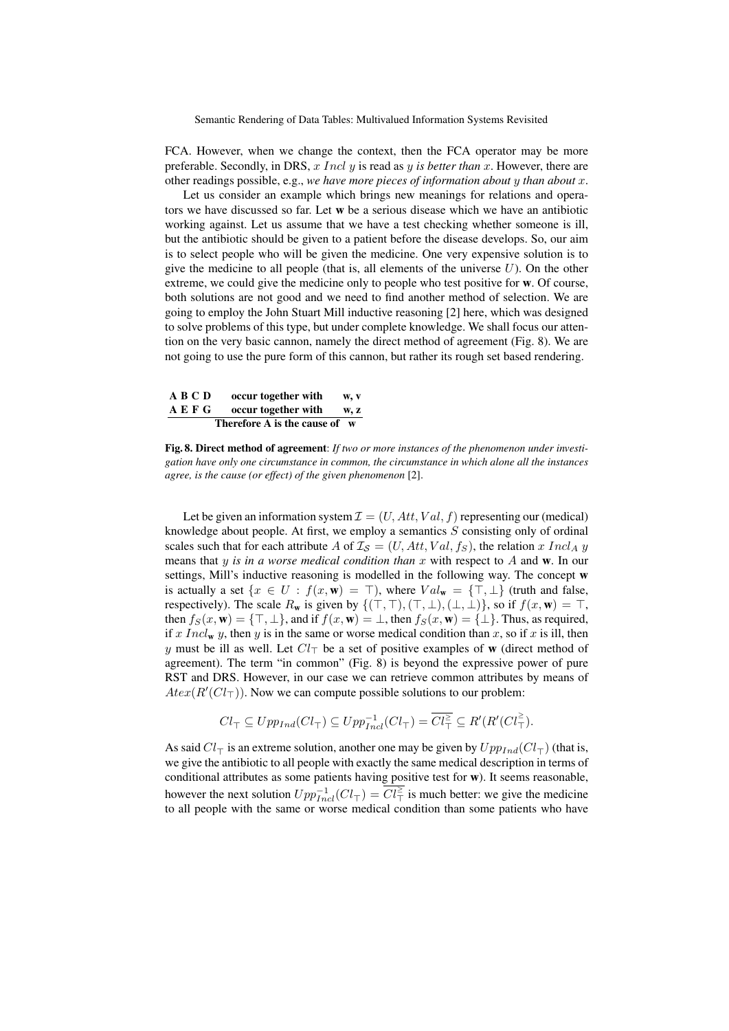Semantic Rendering of Data Tables: Multivalued Information Systems Revisited

FCA. However, when we change the context, then the FCA operator may be more preferable. Secondly, in DRS, x Incl y is read as y *is better than* x. However, there are other readings possible, e.g., *we have more pieces of information about* y *than about* x.

Let us consider an example which brings new meanings for relations and operators we have discussed so far. Let w be a serious disease which we have an antibiotic working against. Let us assume that we have a test checking whether someone is ill, but the antibiotic should be given to a patient before the disease develops. So, our aim is to select people who will be given the medicine. One very expensive solution is to give the medicine to all people (that is, all elements of the universe  $U$ ). On the other extreme, we could give the medicine only to people who test positive for w. Of course, both solutions are not good and we need to find another method of selection. We are going to employ the John Stuart Mill inductive reasoning [2] here, which was designed to solve problems of this type, but under complete knowledge. We shall focus our attention on the very basic cannon, namely the direct method of agreement (Fig. 8). We are not going to use the pure form of this cannon, but rather its rough set based rendering.

A B C D occur together with w, v<br>A E F G occur together with w, z  $occur$  together with w, z Therefore A is the cause of w

Fig. 8. Direct method of agreement: *If two or more instances of the phenomenon under investigation have only one circumstance in common, the circumstance in which alone all the instances agree, is the cause (or effect) of the given phenomenon* [2].

Let be given an information system  $\mathcal{I} = (U, Att, Val, f)$  representing our (medical) knowledge about people. At first, we employ a semantics  $S$  consisting only of ordinal scales such that for each attribute A of  $\mathcal{I}_{\mathcal{S}} = (U, Att, Val, f_{\mathcal{S}})$ , the relation x Incl<sub>A</sub> y means that y is in a worse medical condition than x with respect to A and w. In our settings, Mill's inductive reasoning is modelled in the following way. The concept w is actually a set  $\{x \in U : f(x, \mathbf{w}) = \top\}$ , where  $Val_{\mathbf{w}} = {\top, \bot}$  (truth and false, respectively). The scale  $R_w$  is given by  $\{(\top, \top), (\top, \bot), (\bot, \bot)\}\)$ , so if  $f(x, w) = \top$ , then  $f_S(x, \mathbf{w}) = {\top, \bot}$ , and if  $f(x, \mathbf{w}) = {\bot}$ , then  $f_S(x, \mathbf{w}) = {\bot}$ . Thus, as required, if x Incl<sub>w</sub> y, then y is in the same or worse medical condition than x, so if x is ill, then y must be ill as well. Let  $Cl_{\top}$  be a set of positive examples of w (direct method of agreement). The term "in common" (Fig. 8) is beyond the expressive power of pure RST and DRS. However, in our case we can retrieve common attributes by means of  $A \text{t}ex(R'(Cl<sub>T</sub>)).$  Now we can compute possible solutions to our problem:

$$
Cl_{\top} \subseteq Upp_{Ind}(Cl_{\top}) \subseteq Upp_{Ind}^{-1}(Cl_{\top}) = \overline{Cl_{\top}^{\geq}} \subseteq R'(R'(Cl_{\top}^{\geq}).
$$

As said  $Cl_{\tau}$  is an extreme solution, another one may be given by  $Upp_{Ind}(Cl_{\tau})$  (that is, we give the antibiotic to all people with exactly the same medical description in terms of conditional attributes as some patients having positive test for w). It seems reasonable, however the next solution  $Upp_{Incl}^{-1}(Cl_{\top}) = Cl_{\top}^{\geq}$  is much better: we give the medicine to all people with the same or worse medical condition than some patients who have